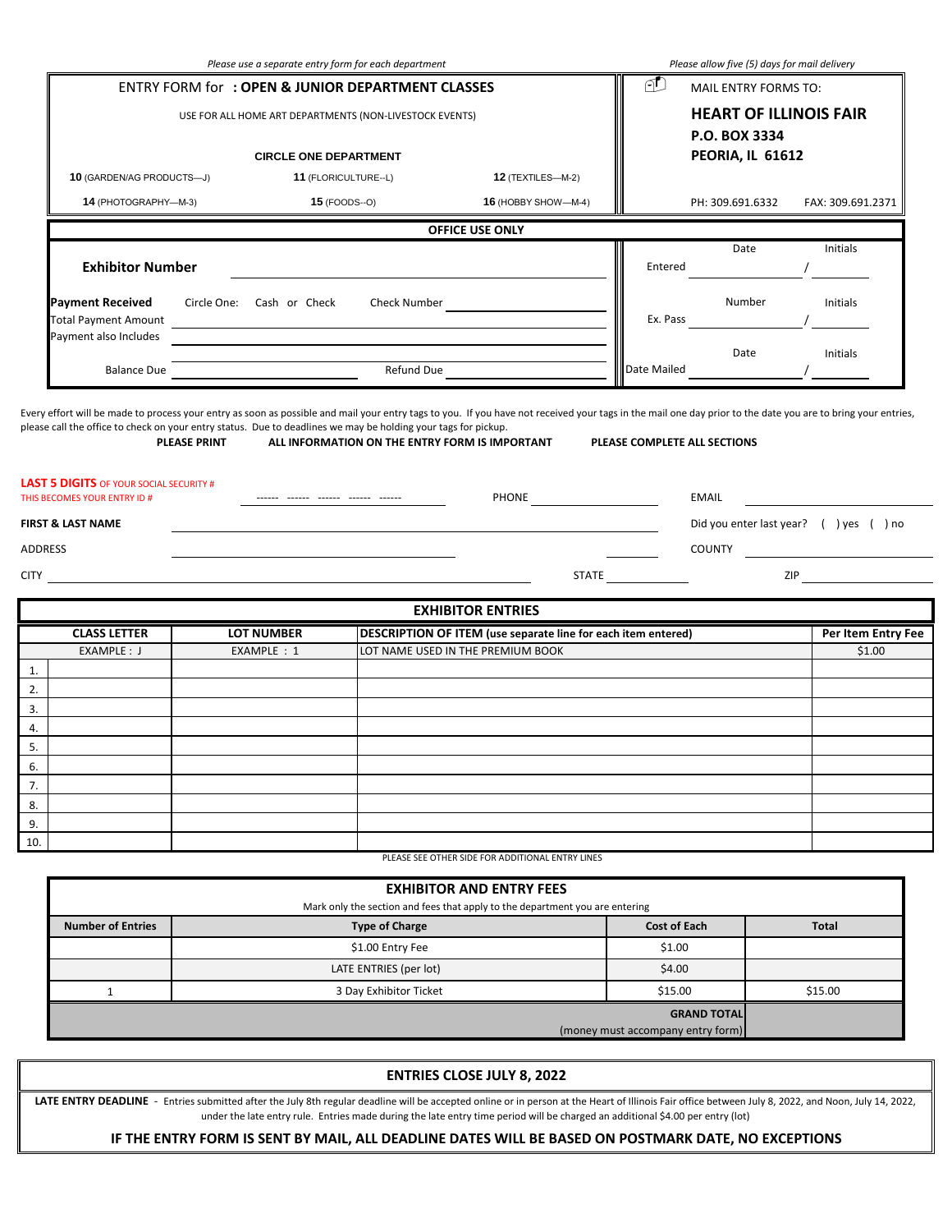|                                                                                                                | Please use a separate entry form for each department                             |                                            |                                                                                                    |                     | Please allow five (5) days for mail delivery          |                                         |  |  |
|----------------------------------------------------------------------------------------------------------------|----------------------------------------------------------------------------------|--------------------------------------------|----------------------------------------------------------------------------------------------------|---------------------|-------------------------------------------------------|-----------------------------------------|--|--|
|                                                                                                                | <b>ENTRY FORM for: OPEN &amp; JUNIOR DEPARTMENT CLASSES</b>                      |                                            |                                                                                                    | ₫                   | MAIL ENTRY FORMS TO:                                  |                                         |  |  |
| USE FOR ALL HOME ART DEPARTMENTS (NON-LIVESTOCK EVENTS)                                                        |                                                                                  |                                            |                                                                                                    |                     | <b>HEART OF ILLINOIS FAIR</b><br><b>P.O. BOX 3334</b> |                                         |  |  |
|                                                                                                                | <b>CIRCLE ONE DEPARTMENT</b>                                                     |                                            |                                                                                                    |                     |                                                       | PEORIA, IL 61612                        |  |  |
|                                                                                                                | 10 (GARDEN/AG PRODUCTS-J)<br>11 (FLORICULTURE--L)<br><b>12 (TEXTILES-M-2)</b>    |                                            |                                                                                                    |                     |                                                       |                                         |  |  |
| 14 (PHOTOGRAPHY-M-3)                                                                                           |                                                                                  | <b>15</b> (FOODS--O)                       | 16 (HOBBY SHOW-M-4)                                                                                |                     | PH: 309.691.6332                                      | FAX: 309.691.2371                       |  |  |
|                                                                                                                |                                                                                  |                                            | OFFICE USE ONLY                                                                                    |                     |                                                       |                                         |  |  |
| <b>Exhibitor Number</b>                                                                                        |                                                                                  |                                            |                                                                                                    | Entered             | Date                                                  | <b>Initials</b>                         |  |  |
| <b>Payment Received</b><br><b>Total Payment Amount</b>                                                         | Circle One: Cash or Check<br><u> 1989 - Johann Barbara, martxa alemaniar arg</u> |                                            |                                                                                                    | Ex. Pass            | Number                                                | Initials                                |  |  |
| Payment also Includes                                                                                          | and the control of the control of the                                            |                                            |                                                                                                    |                     | Date                                                  | Initials                                |  |  |
|                                                                                                                | Balance Due                                                                      | Refund Due                                 |                                                                                                    | Date Mailed         |                                                       |                                         |  |  |
|                                                                                                                |                                                                                  |                                            |                                                                                                    |                     | EMAIL                                                 | Did you enter last year? ( ) yes ( ) no |  |  |
| <b>LAST 5 DIGITS</b> OF YOUR SOCIAL SECURITY #<br>THIS BECOMES YOUR ENTRY ID #<br>FIRST & LAST NAME<br>ADDRESS |                                                                                  |                                            |                                                                                                    |                     |                                                       | COUNTY                                  |  |  |
|                                                                                                                |                                                                                  |                                            |                                                                                                    | STATE               |                                                       | ZIP                                     |  |  |
|                                                                                                                |                                                                                  |                                            | <b>EXHIBITOR ENTRIES</b>                                                                           |                     |                                                       |                                         |  |  |
| <b>CLASS LETTER</b><br>EXAMPLE: J                                                                              | <b>LOT NUMBER</b><br>EXAMPLE : 1                                                 |                                            | DESCRIPTION OF ITEM (use separate line for each item entered)<br>LOT NAME USED IN THE PREMIUM BOOK |                     |                                                       | Per Item Entry Fee<br>\$1.00            |  |  |
|                                                                                                                |                                                                                  |                                            |                                                                                                    |                     |                                                       |                                         |  |  |
|                                                                                                                |                                                                                  |                                            |                                                                                                    |                     |                                                       |                                         |  |  |
|                                                                                                                |                                                                                  |                                            |                                                                                                    |                     |                                                       |                                         |  |  |
|                                                                                                                |                                                                                  |                                            |                                                                                                    |                     |                                                       |                                         |  |  |
|                                                                                                                |                                                                                  |                                            |                                                                                                    |                     |                                                       |                                         |  |  |
|                                                                                                                |                                                                                  |                                            |                                                                                                    |                     |                                                       |                                         |  |  |
|                                                                                                                |                                                                                  |                                            |                                                                                                    |                     |                                                       |                                         |  |  |
|                                                                                                                |                                                                                  |                                            |                                                                                                    |                     |                                                       |                                         |  |  |
|                                                                                                                |                                                                                  |                                            | PLEASE SEE OTHER SIDE FOR ADDITIONAL ENTRY LINES                                                   |                     |                                                       |                                         |  |  |
|                                                                                                                |                                                                                  |                                            | <b>EXHIBITOR AND ENTRY FEES</b>                                                                    |                     |                                                       |                                         |  |  |
|                                                                                                                |                                                                                  |                                            | Mark only the section and fees that apply to the department you are entering                       |                     |                                                       |                                         |  |  |
| <b>Number of Entries</b>                                                                                       |                                                                                  | <b>Type of Charge</b>                      |                                                                                                    | <b>Cost of Each</b> |                                                       | <b>Total</b>                            |  |  |
|                                                                                                                |                                                                                  | \$1.00 Entry Fee<br>LATE ENTRIES (per lot) |                                                                                                    | \$1.00<br>\$4.00    |                                                       |                                         |  |  |

(money must accompany entry form)

## **ENTRIES CLOSE JULY 8, 2022**

LATE ENTRY DEADLINE - Entries submitted after the July 8th regular deadline will be accepted online or in person at the Heart of Illinois Fair office between July 8, 2022, and Noon, July 14, 2022, under the late entry rule. Entries made during the late entry time period will be charged an additional \$4.00 per entry (lot)

## **IF THE ENTRY FORM IS SENT BY MAIL, ALL DEADLINE DATES WILL BE BASED ON POSTMARK DATE, NO EXCEPTIONS**